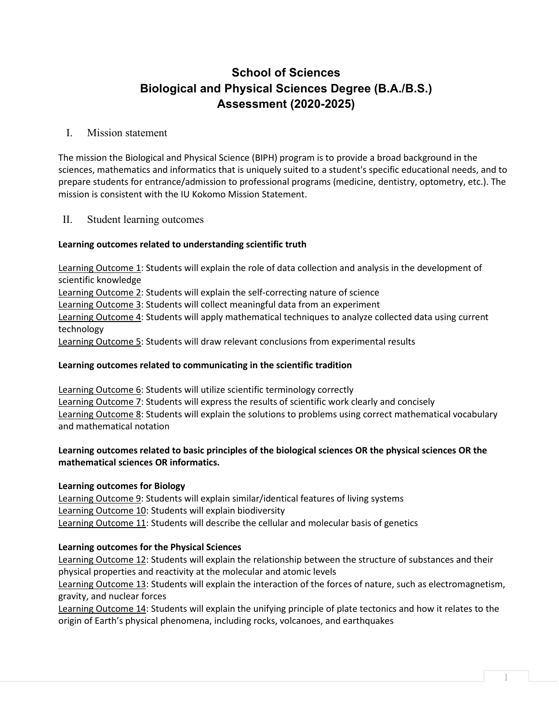# **School of Sciences Biological and Physical Sciences Degree (B.A./B.S.) Assessment (2020-2025)**

## I. Mission statement

The mission the Biological and Physical Science (BIPH) program is to provide a broad background in the sciences, mathematics and informatics that is uniquely suited to a student's specific educational needs, and to prepare students for entrance/admission to professional programs (medicine, dentistry, optometry, etc.). The mission is consistent with the IU Kokomo Mission Statement.

## II. Student learning outcomes

### **Learning outcomes related to understanding scientific truth**

Learning Outcome 1: Students will explain the role of data collection and analysis in the development of scientific knowledge Learning Outcome 2: Students will explain the self-correcting nature of science Learning Outcome 3: Students will collect meaningful data from an experiment Learning Outcome 4: Students will apply mathematical techniques to analyze collected data using current technology Learning Outcome 5: Students will draw relevant conclusions from experimental results

### **Learning outcomes related to communicating in the scientific tradition**

Learning Outcome 6: Students will utilize scientific terminology correctly Learning Outcome 7: Students will express the results of scientific work clearly and concisely Learning Outcome 8: Students will explain the solutions to problems using correct mathematical vocabulary and mathematical notation

### **Learning outcomes related to basic principles of the biological sciences OR the physical sciences OR the mathematical sciences OR informatics.**

### **Learning outcomes for Biology**

Learning Outcome 9: Students will explain similar/identical features of living systems Learning Outcome 10: Students will explain biodiversity Learning Outcome 11: Students will describe the cellular and molecular basis of genetics

### **Learning outcomes for the Physical Sciences**

Learning Outcome 12: Students will explain the relationship between the structure of substances and their physical properties and reactivity at the molecular and atomic levels

Learning Outcome 13: Students will explain the interaction of the forces of nature, such as electromagnetism, gravity, and nuclear forces

Learning Outcome 14: Students will explain the unifying principle of plate tectonics and how it relates to the origin of Earth's physical phenomena, including rocks, volcanoes, and earthquakes